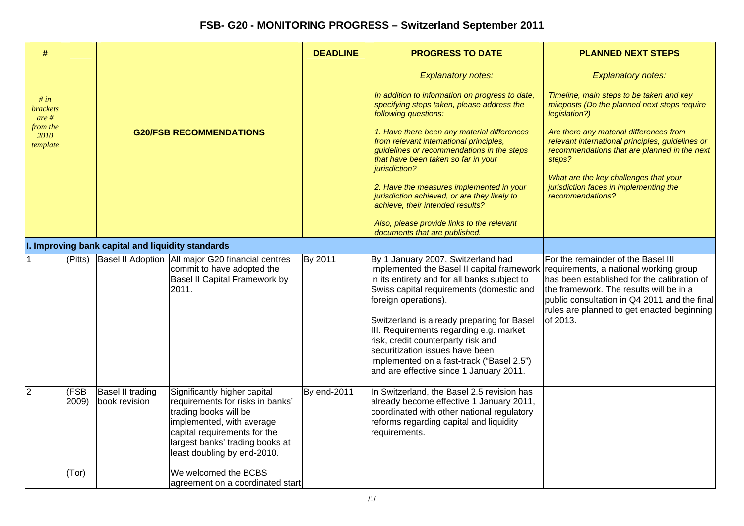| #                                   |               |                                                   |                                                                                                                                                                                                                          | <b>DEADLINE</b>    | <b>PROGRESS TO DATE</b>                                                                                                                                                                                                                                                                                                                                                                                                                                        | <b>PLANNED NEXT STEPS</b>                                                                                                                                                                                                                                                        |
|-------------------------------------|---------------|---------------------------------------------------|--------------------------------------------------------------------------------------------------------------------------------------------------------------------------------------------------------------------------|--------------------|----------------------------------------------------------------------------------------------------------------------------------------------------------------------------------------------------------------------------------------------------------------------------------------------------------------------------------------------------------------------------------------------------------------------------------------------------------------|----------------------------------------------------------------------------------------------------------------------------------------------------------------------------------------------------------------------------------------------------------------------------------|
|                                     |               |                                                   |                                                                                                                                                                                                                          |                    | <b>Explanatory notes:</b>                                                                                                                                                                                                                                                                                                                                                                                                                                      | <b>Explanatory notes:</b>                                                                                                                                                                                                                                                        |
| # in<br><i>brackets</i><br>$are \#$ |               |                                                   |                                                                                                                                                                                                                          |                    | In addition to information on progress to date,<br>specifying steps taken, please address the<br>following questions:                                                                                                                                                                                                                                                                                                                                          | Timeline, main steps to be taken and key<br>mileposts (Do the planned next steps require<br>legislation?)                                                                                                                                                                        |
| from the<br>2010<br>template        |               |                                                   | <b>G20/FSB RECOMMENDATIONS</b>                                                                                                                                                                                           |                    | 1. Have there been any material differences<br>from relevant international principles,<br>guidelines or recommendations in the steps<br>that have been taken so far in your<br>jurisdiction?                                                                                                                                                                                                                                                                   | Are there any material differences from<br>relevant international principles, guidelines or<br>recommendations that are planned in the next<br>steps?                                                                                                                            |
|                                     |               |                                                   |                                                                                                                                                                                                                          |                    | 2. Have the measures implemented in your<br>jurisdiction achieved, or are they likely to<br>achieve, their intended results?                                                                                                                                                                                                                                                                                                                                   | What are the key challenges that your<br>jurisdiction faces in implementing the<br>recommendations?                                                                                                                                                                              |
|                                     |               |                                                   |                                                                                                                                                                                                                          |                    | Also, please provide links to the relevant<br>documents that are published.                                                                                                                                                                                                                                                                                                                                                                                    |                                                                                                                                                                                                                                                                                  |
|                                     |               | I. Improving bank capital and liquidity standards |                                                                                                                                                                                                                          |                    |                                                                                                                                                                                                                                                                                                                                                                                                                                                                |                                                                                                                                                                                                                                                                                  |
|                                     | (Pitts)       |                                                   | Basel II Adoption   All major G20 financial centres<br>commit to have adopted the<br>Basel II Capital Framework by<br>2011.                                                                                              | By 2011            | By 1 January 2007, Switzerland had<br>implemented the Basel II capital framework<br>in its entirety and for all banks subject to<br>Swiss capital requirements (domestic and<br>foreign operations).<br>Switzerland is already preparing for Basel<br>III. Requirements regarding e.g. market<br>risk, credit counterparty risk and<br>securitization issues have been<br>implemented on a fast-track ("Basel 2.5")<br>and are effective since 1 January 2011. | For the remainder of the Basel III<br>requirements, a national working group<br>has been established for the calibration of<br>the framework. The results will be in a<br>public consultation in Q4 2011 and the final<br>rules are planned to get enacted beginning<br>of 2013. |
|                                     | (FSB<br>2009) | <b>Basel II trading</b><br>book revision          | Significantly higher capital<br>requirements for risks in banks'<br>trading books will be<br>implemented, with average<br>capital requirements for the<br>largest banks' trading books at<br>least doubling by end-2010. | <b>By end-2011</b> | In Switzerland, the Basel 2.5 revision has<br>already become effective 1 January 2011,<br>coordinated with other national regulatory<br>reforms regarding capital and liquidity<br>requirements.                                                                                                                                                                                                                                                               |                                                                                                                                                                                                                                                                                  |
|                                     | (Tor)         |                                                   | We welcomed the BCBS<br>agreement on a coordinated start                                                                                                                                                                 |                    |                                                                                                                                                                                                                                                                                                                                                                                                                                                                |                                                                                                                                                                                                                                                                                  |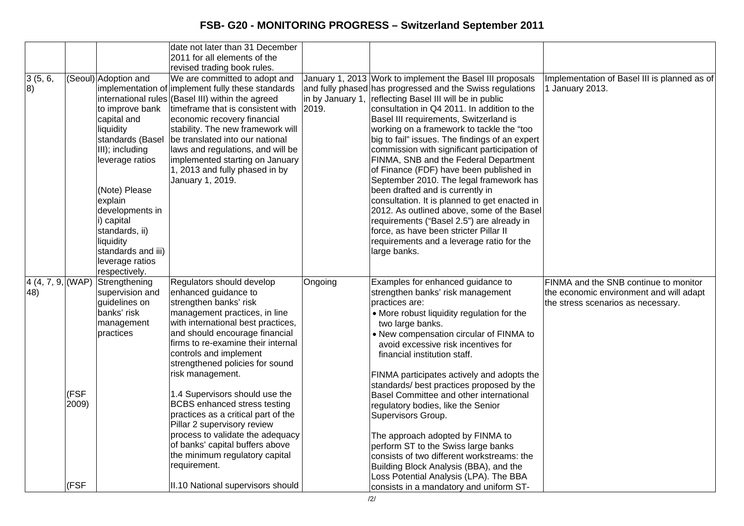|                                    |               |                                                                                                                                                                                                                                                                                     | date not later than 31 December<br>2011 for all elements of the<br>revised trading book rules.                                                                                                                                                                                                                                                                                                                                                                                                                                                                                      |         |                                                                                                                                                                                                                                                                                                                                                                                                                                                                                                                                                                                                                                                                                                                                                                                                                                                 |                                                                                                                        |
|------------------------------------|---------------|-------------------------------------------------------------------------------------------------------------------------------------------------------------------------------------------------------------------------------------------------------------------------------------|-------------------------------------------------------------------------------------------------------------------------------------------------------------------------------------------------------------------------------------------------------------------------------------------------------------------------------------------------------------------------------------------------------------------------------------------------------------------------------------------------------------------------------------------------------------------------------------|---------|-------------------------------------------------------------------------------------------------------------------------------------------------------------------------------------------------------------------------------------------------------------------------------------------------------------------------------------------------------------------------------------------------------------------------------------------------------------------------------------------------------------------------------------------------------------------------------------------------------------------------------------------------------------------------------------------------------------------------------------------------------------------------------------------------------------------------------------------------|------------------------------------------------------------------------------------------------------------------------|
| 3(5, 6,<br>8)                      |               | (Seoul) Adoption and<br>to improve bank<br>capital and<br>liquidity<br>standards (Basel<br>III); including<br>leverage ratios<br>(Note) Please<br>explain<br>developments in<br>i) capital<br>standards, ii)<br>liquidity<br>standards and iii)<br>leverage ratios<br>respectively. | We are committed to adopt and<br>implementation of implement fully these standards<br>international rules (Basel III) within the agreed<br>timeframe that is consistent with<br>economic recovery financial<br>stability. The new framework will<br>be translated into our national<br>laws and regulations, and will be<br>implemented starting on January<br>1, 2013 and fully phased in by<br>January 1, 2019.                                                                                                                                                                   | 2019.   | January 1, 2013 Work to implement the Basel III proposals<br>and fully phased has progressed and the Swiss regulations<br>in by January 1, reflecting Basel III will be in public<br>consultation in Q4 2011. In addition to the<br>Basel III requirements, Switzerland is<br>working on a framework to tackle the "too<br>big to fail" issues. The findings of an expert<br>commission with significant participation of<br>FINMA, SNB and the Federal Department<br>of Finance (FDF) have been published in<br>September 2010. The legal framework has<br>been drafted and is currently in<br>consultation. It is planned to get enacted in<br>2012. As outlined above, some of the Basel<br>requirements ("Basel 2.5") are already in<br>force, as have been stricter Pillar II<br>requirements and a leverage ratio for the<br>large banks. | Implementation of Basel III is planned as of<br>1 January 2013.                                                        |
| 4(4, 7, 9,  (WAP))<br>$ 48\rangle$ | (FSF<br>2009) | Strengthening<br>supervision and<br>guidelines on<br>banks' risk<br>management<br>practices                                                                                                                                                                                         | Regulators should develop<br>enhanced guidance to<br>strengthen banks' risk<br>management practices, in line<br>with international best practices,<br>and should encourage financial<br>firms to re-examine their internal<br>controls and implement<br>strengthened policies for sound<br>risk management.<br>1.4 Supervisors should use the<br><b>BCBS</b> enhanced stress testing<br>practices as a critical part of the<br>Pillar 2 supervisory review<br>process to validate the adequacy<br>of banks' capital buffers above<br>the minimum regulatory capital<br>requirement. | Ongoing | Examples for enhanced guidance to<br>strengthen banks' risk management<br>practices are:<br>• More robust liquidity regulation for the<br>two large banks.<br>. New compensation circular of FINMA to<br>avoid excessive risk incentives for<br>financial institution staff.<br>FINMA participates actively and adopts the<br>standards/ best practices proposed by the<br>Basel Committee and other international<br>regulatory bodies, like the Senior<br>Supervisors Group.<br>The approach adopted by FINMA to<br>perform ST to the Swiss large banks<br>consists of two different workstreams: the<br>Building Block Analysis (BBA), and the<br>Loss Potential Analysis (LPA). The BBA                                                                                                                                                     | FINMA and the SNB continue to monitor<br>the economic environment and will adapt<br>the stress scenarios as necessary. |
|                                    | (FSF          |                                                                                                                                                                                                                                                                                     | II.10 National supervisors should                                                                                                                                                                                                                                                                                                                                                                                                                                                                                                                                                   |         | consists in a mandatory and uniform ST-                                                                                                                                                                                                                                                                                                                                                                                                                                                                                                                                                                                                                                                                                                                                                                                                         |                                                                                                                        |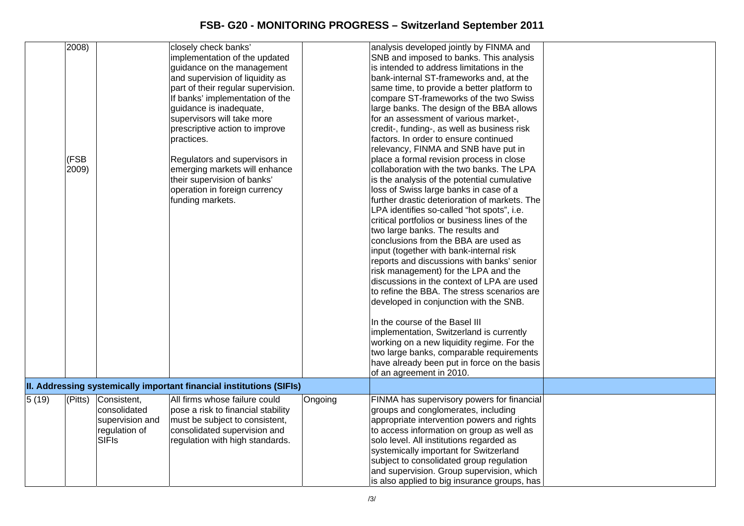|       | 2008)<br>(FSB<br>2009)    |                                                                                 | closely check banks'<br>implementation of the updated<br>guidance on the management<br>and supervision of liquidity as<br>part of their regular supervision.<br>If banks' implementation of the<br>guidance is inadequate,<br>supervisors will take more<br>prescriptive action to improve<br>practices.<br>Regulators and supervisors in<br>emerging markets will enhance<br>their supervision of banks'<br>operation in foreign currency<br>funding markets.<br>II. Addressing systemically important financial institutions (SIFIs) |         | analysis developed jointly by FINMA and<br>SNB and imposed to banks. This analysis<br>is intended to address limitations in the<br>bank-internal ST-frameworks and, at the<br>same time, to provide a better platform to<br>compare ST-frameworks of the two Swiss<br>large banks. The design of the BBA allows<br>for an assessment of various market-,<br>credit-, funding-, as well as business risk<br>factors. In order to ensure continued<br>relevancy, FINMA and SNB have put in<br>place a formal revision process in close<br>collaboration with the two banks. The LPA<br>is the analysis of the potential cumulative<br>loss of Swiss large banks in case of a<br>further drastic deterioration of markets. The<br>LPA identifies so-called "hot spots", i.e.<br>critical portfolios or business lines of the<br>two large banks. The results and<br>conclusions from the BBA are used as<br>input (together with bank-internal risk<br>reports and discussions with banks' senior<br>risk management) for the LPA and the<br>discussions in the context of LPA are used<br>to refine the BBA. The stress scenarios are<br>developed in conjunction with the SNB.<br>In the course of the Basel III<br>implementation, Switzerland is currently<br>working on a new liquidity regime. For the<br>two large banks, comparable requirements<br>have already been put in force on the basis<br>of an agreement in 2010. |  |
|-------|---------------------------|---------------------------------------------------------------------------------|----------------------------------------------------------------------------------------------------------------------------------------------------------------------------------------------------------------------------------------------------------------------------------------------------------------------------------------------------------------------------------------------------------------------------------------------------------------------------------------------------------------------------------------|---------|----------------------------------------------------------------------------------------------------------------------------------------------------------------------------------------------------------------------------------------------------------------------------------------------------------------------------------------------------------------------------------------------------------------------------------------------------------------------------------------------------------------------------------------------------------------------------------------------------------------------------------------------------------------------------------------------------------------------------------------------------------------------------------------------------------------------------------------------------------------------------------------------------------------------------------------------------------------------------------------------------------------------------------------------------------------------------------------------------------------------------------------------------------------------------------------------------------------------------------------------------------------------------------------------------------------------------------------------------------------------------------------------------------------------------------|--|
|       |                           |                                                                                 |                                                                                                                                                                                                                                                                                                                                                                                                                                                                                                                                        |         |                                                                                                                                                                                                                                                                                                                                                                                                                                                                                                                                                                                                                                                                                                                                                                                                                                                                                                                                                                                                                                                                                                                                                                                                                                                                                                                                                                                                                                  |  |
| 5(19) | $\sqrt{\text{P}}$ (Pitts) | Consistent,<br>consolidated<br>supervision and<br>regulation of<br><b>SIFIs</b> | All firms whose failure could<br>pose a risk to financial stability<br>must be subject to consistent,<br>consolidated supervision and<br>regulation with high standards.                                                                                                                                                                                                                                                                                                                                                               | Ongoing | FINMA has supervisory powers for financial<br>groups and conglomerates, including<br>appropriate intervention powers and rights<br>to access information on group as well as<br>solo level. All institutions regarded as<br>systemically important for Switzerland<br>subject to consolidated group regulation<br>and supervision. Group supervision, which<br>is also applied to big insurance groups, has                                                                                                                                                                                                                                                                                                                                                                                                                                                                                                                                                                                                                                                                                                                                                                                                                                                                                                                                                                                                                      |  |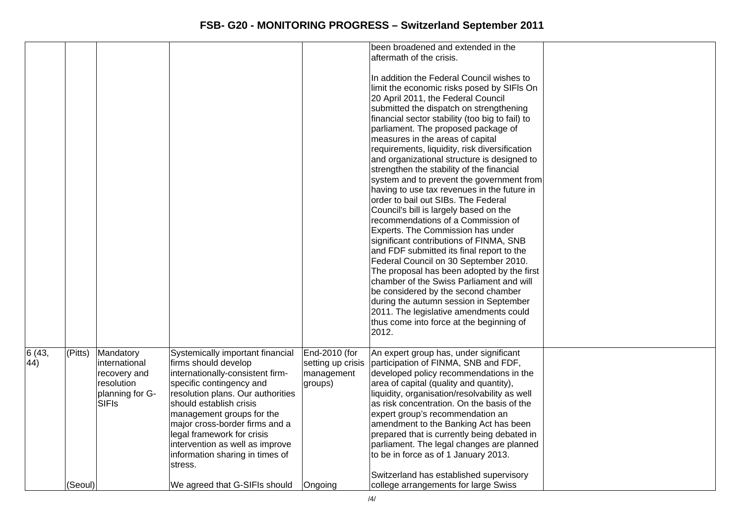|       |         |                 |                                   |                   | been broadened and extended in the              |  |
|-------|---------|-----------------|-----------------------------------|-------------------|-------------------------------------------------|--|
|       |         |                 |                                   |                   | aftermath of the crisis.                        |  |
|       |         |                 |                                   |                   |                                                 |  |
|       |         |                 |                                   |                   | In addition the Federal Council wishes to       |  |
|       |         |                 |                                   |                   | limit the economic risks posed by SIFIs On      |  |
|       |         |                 |                                   |                   | 20 April 2011, the Federal Council              |  |
|       |         |                 |                                   |                   | submitted the dispatch on strengthening         |  |
|       |         |                 |                                   |                   | financial sector stability (too big to fail) to |  |
|       |         |                 |                                   |                   | parliament. The proposed package of             |  |
|       |         |                 |                                   |                   | measures in the areas of capital                |  |
|       |         |                 |                                   |                   | requirements, liquidity, risk diversification   |  |
|       |         |                 |                                   |                   | and organizational structure is designed to     |  |
|       |         |                 |                                   |                   | strengthen the stability of the financial       |  |
|       |         |                 |                                   |                   | system and to prevent the government from       |  |
|       |         |                 |                                   |                   | having to use tax revenues in the future in     |  |
|       |         |                 |                                   |                   | order to bail out SIBs. The Federal             |  |
|       |         |                 |                                   |                   | Council's bill is largely based on the          |  |
|       |         |                 |                                   |                   | recommendations of a Commission of              |  |
|       |         |                 |                                   |                   | Experts. The Commission has under               |  |
|       |         |                 |                                   |                   | significant contributions of FINMA, SNB         |  |
|       |         |                 |                                   |                   | and FDF submitted its final report to the       |  |
|       |         |                 |                                   |                   | Federal Council on 30 September 2010.           |  |
|       |         |                 |                                   |                   | The proposal has been adopted by the first      |  |
|       |         |                 |                                   |                   | chamber of the Swiss Parliament and will        |  |
|       |         |                 |                                   |                   | be considered by the second chamber             |  |
|       |         |                 |                                   |                   | during the autumn session in September          |  |
|       |         |                 |                                   |                   | 2011. The legislative amendments could          |  |
|       |         |                 |                                   |                   | thus come into force at the beginning of        |  |
|       |         |                 |                                   |                   | 2012.                                           |  |
|       |         |                 |                                   |                   |                                                 |  |
| 6(43, | (Pitts) | Mandatory       | Systemically important financial  | End-2010 (for     | An expert group has, under significant          |  |
| (44)  |         | international   | firms should develop              | setting up crisis | participation of FINMA, SNB and FDF,            |  |
|       |         | recovery and    | internationally-consistent firm-  | management        | developed policy recommendations in the         |  |
|       |         | resolution      | specific contingency and          | groups)           | area of capital (quality and quantity),         |  |
|       |         | planning for G- | resolution plans. Our authorities |                   | liquidity, organisation/resolvability as well   |  |
|       |         | SIFIs           | should establish crisis           |                   | as risk concentration. On the basis of the      |  |
|       |         |                 | management groups for the         |                   | expert group's recommendation an                |  |
|       |         |                 | major cross-border firms and a    |                   | amendment to the Banking Act has been           |  |
|       |         |                 | legal framework for crisis        |                   | prepared that is currently being debated in     |  |
|       |         |                 | intervention as well as improve   |                   | parliament. The legal changes are planned       |  |
|       |         |                 | information sharing in times of   |                   | to be in force as of 1 January 2013.            |  |
|       |         |                 | stress.                           |                   |                                                 |  |
|       |         |                 |                                   |                   | Switzerland has established supervisory         |  |
|       |         |                 |                                   |                   |                                                 |  |
|       | (Seoul) |                 | We agreed that G-SIFIs should     | Ongoing           | college arrangements for large Swiss            |  |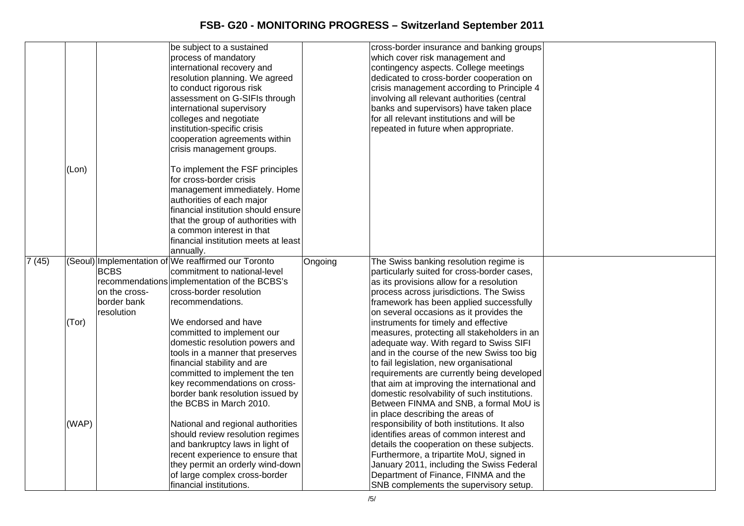|       |       |               | be subject to a sustained                           |         | cross-border insurance and banking groups    |  |
|-------|-------|---------------|-----------------------------------------------------|---------|----------------------------------------------|--|
|       |       |               | process of mandatory                                |         | which cover risk management and              |  |
|       |       |               | international recovery and                          |         | contingency aspects. College meetings        |  |
|       |       |               | resolution planning. We agreed                      |         | dedicated to cross-border cooperation on     |  |
|       |       |               | to conduct rigorous risk                            |         | crisis management according to Principle 4   |  |
|       |       |               | assessment on G-SIFIs through                       |         | involving all relevant authorities (central  |  |
|       |       |               | international supervisory                           |         | banks and supervisors) have taken place      |  |
|       |       |               | colleges and negotiate                              |         | for all relevant institutions and will be    |  |
|       |       |               | institution-specific crisis                         |         | repeated in future when appropriate.         |  |
|       |       |               | cooperation agreements within                       |         |                                              |  |
|       |       |               | crisis management groups.                           |         |                                              |  |
|       |       |               |                                                     |         |                                              |  |
|       | (Lon) |               | To implement the FSF principles                     |         |                                              |  |
|       |       |               | for cross-border crisis                             |         |                                              |  |
|       |       |               | management immediately. Home                        |         |                                              |  |
|       |       |               | authorities of each major                           |         |                                              |  |
|       |       |               | financial institution should ensure                 |         |                                              |  |
|       |       |               | that the group of authorities with                  |         |                                              |  |
|       |       |               | a common interest in that                           |         |                                              |  |
|       |       |               | financial institution meets at least                |         |                                              |  |
|       |       |               | annually.                                           |         |                                              |  |
| 7(45) |       |               | (Seoul) Implementation of We reaffirmed our Toronto | Ongoing | The Swiss banking resolution regime is       |  |
|       |       | <b>BCBS</b>   | commitment to national-level                        |         | particularly suited for cross-border cases,  |  |
|       |       |               | recommendations implementation of the BCBS's        |         | as its provisions allow for a resolution     |  |
|       |       | on the cross- | cross-border resolution                             |         | process across jurisdictions. The Swiss      |  |
|       |       | border bank   | recommendations.                                    |         | framework has been applied successfully      |  |
|       |       | resolution    |                                                     |         | on several occasions as it provides the      |  |
|       | (Tor) |               | We endorsed and have                                |         | instruments for timely and effective         |  |
|       |       |               | committed to implement our                          |         | measures, protecting all stakeholders in an  |  |
|       |       |               | domestic resolution powers and                      |         | adequate way. With regard to Swiss SIFI      |  |
|       |       |               | tools in a manner that preserves                    |         | and in the course of the new Swiss too big   |  |
|       |       |               | financial stability and are                         |         | to fail legislation, new organisational      |  |
|       |       |               | committed to implement the ten                      |         | requirements are currently being developed   |  |
|       |       |               | key recommendations on cross-                       |         | that aim at improving the international and  |  |
|       |       |               | border bank resolution issued by                    |         | domestic resolvability of such institutions. |  |
|       |       |               | the BCBS in March 2010.                             |         | Between FINMA and SNB, a formal MoU is       |  |
|       |       |               |                                                     |         | in place describing the areas of             |  |
|       | (WAP) |               | National and regional authorities                   |         | responsibility of both institutions. It also |  |
|       |       |               | should review resolution regimes                    |         | identifies areas of common interest and      |  |
|       |       |               | and bankruptcy laws in light of                     |         | details the cooperation on these subjects.   |  |
|       |       |               | recent experience to ensure that                    |         | Furthermore, a tripartite MoU, signed in     |  |
|       |       |               | they permit an orderly wind-down                    |         | January 2011, including the Swiss Federal    |  |
|       |       |               | of large complex cross-border                       |         | Department of Finance, FINMA and the         |  |
|       |       |               | financial institutions.                             |         | SNB complements the supervisory setup.       |  |
|       |       |               |                                                     |         |                                              |  |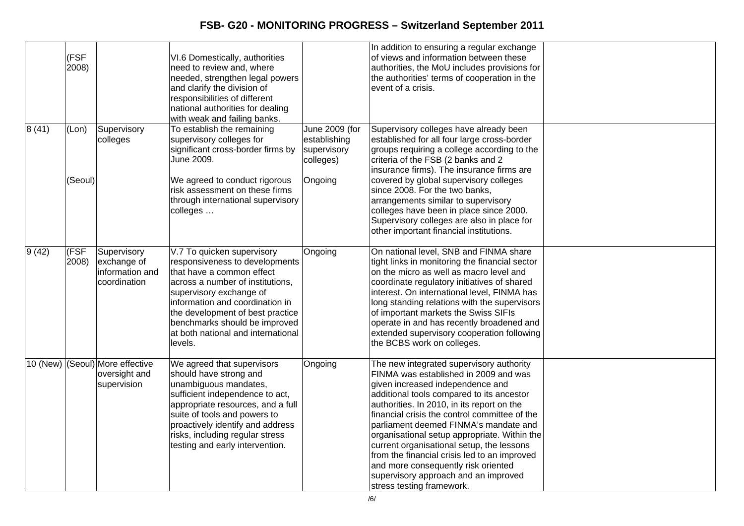|          |               |                                |                                                                     |                | In addition to ensuring a regular exchange                                                |  |
|----------|---------------|--------------------------------|---------------------------------------------------------------------|----------------|-------------------------------------------------------------------------------------------|--|
|          | (FSF<br>2008) |                                | VI.6 Domestically, authorities<br>need to review and, where         |                | of views and information between these<br>authorities, the MoU includes provisions for    |  |
|          |               |                                | needed, strengthen legal powers                                     |                | the authorities' terms of cooperation in the                                              |  |
|          |               |                                | and clarify the division of                                         |                | event of a crisis.                                                                        |  |
|          |               |                                | responsibilities of different                                       |                |                                                                                           |  |
|          |               |                                | national authorities for dealing                                    |                |                                                                                           |  |
|          |               |                                | with weak and failing banks.                                        |                |                                                                                           |  |
| 8(41)    | (Lon)         | Supervisory                    | To establish the remaining                                          | June 2009 (for | Supervisory colleges have already been                                                    |  |
|          |               | colleges                       | supervisory colleges for                                            | establishing   | established for all four large cross-border                                               |  |
|          |               |                                | significant cross-border firms by                                   | supervisory    | groups requiring a college according to the                                               |  |
|          |               |                                | June 2009.                                                          | colleges)      | criteria of the FSB (2 banks and 2                                                        |  |
|          | (Seoul)       |                                | We agreed to conduct rigorous                                       | Ongoing        | insurance firms). The insurance firms are<br>covered by global supervisory colleges       |  |
|          |               |                                | risk assessment on these firms                                      |                | since 2008. For the two banks,                                                            |  |
|          |               |                                | through international supervisory                                   |                | arrangements similar to supervisory                                                       |  |
|          |               |                                | colleges                                                            |                | colleges have been in place since 2000.                                                   |  |
|          |               |                                |                                                                     |                | Supervisory colleges are also in place for                                                |  |
|          |               |                                |                                                                     |                | other important financial institutions.                                                   |  |
|          |               |                                |                                                                     |                |                                                                                           |  |
| 9(42)    | (FSF<br>2008) | Supervisory                    | V.7 To quicken supervisory<br>responsiveness to developments        | Ongoing        | On national level, SNB and FINMA share<br>tight links in monitoring the financial sector  |  |
|          |               | exchange of<br>information and | that have a common effect                                           |                | on the micro as well as macro level and                                                   |  |
|          |               | coordination                   | across a number of institutions,                                    |                | coordinate regulatory initiatives of shared                                               |  |
|          |               |                                | supervisory exchange of                                             |                | interest. On international level, FINMA has                                               |  |
|          |               |                                | information and coordination in                                     |                | long standing relations with the supervisors                                              |  |
|          |               |                                | the development of best practice                                    |                | of important markets the Swiss SIFIs                                                      |  |
|          |               |                                | benchmarks should be improved                                       |                | operate in and has recently broadened and                                                 |  |
|          |               |                                | at both national and international                                  |                | extended supervisory cooperation following                                                |  |
|          |               |                                | levels.                                                             |                | the BCBS work on colleges.                                                                |  |
| 10 (New) |               | (Seoul) More effective         | We agreed that supervisors                                          | Ongoing        | The new integrated supervisory authority                                                  |  |
|          |               | oversight and                  | should have strong and                                              |                | FINMA was established in 2009 and was                                                     |  |
|          |               | supervision                    | unambiguous mandates,                                               |                | given increased independence and                                                          |  |
|          |               |                                | sufficient independence to act,                                     |                | additional tools compared to its ancestor                                                 |  |
|          |               |                                | appropriate resources, and a full                                   |                | authorities. In 2010, in its report on the                                                |  |
|          |               |                                | suite of tools and powers to                                        |                | financial crisis the control committee of the                                             |  |
|          |               |                                | proactively identify and address<br>risks, including regular stress |                | parliament deemed FINMA's mandate and                                                     |  |
|          |               |                                | testing and early intervention.                                     |                | organisational setup appropriate. Within the<br>current organisational setup, the lessons |  |
|          |               |                                |                                                                     |                | from the financial crisis led to an improved                                              |  |
|          |               |                                |                                                                     |                | and more consequently risk oriented                                                       |  |
|          |               |                                |                                                                     |                | supervisory approach and an improved                                                      |  |
|          |               |                                |                                                                     |                | stress testing framework.                                                                 |  |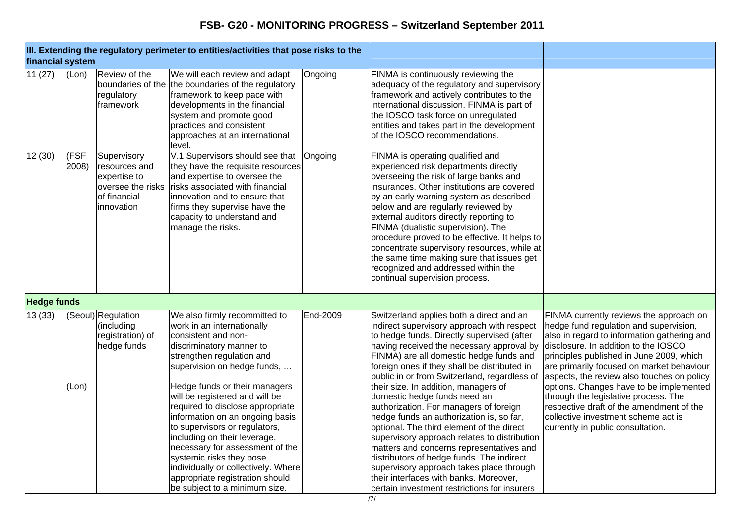| financial system   |                |                                                                                                 | III. Extending the regulatory perimeter to entities/activities that pose risks to the                                                                                                                                                                                                                                                                                                                                                                                                                                                                           |          |                                                                                                                                                                                                                                                                                                                                                                                                                                                                                                                                                                                                                                                                                                                                                                                                                        |                                                                                                                                                                                                                                                                                                                                                                                                                                                                                                                            |
|--------------------|----------------|-------------------------------------------------------------------------------------------------|-----------------------------------------------------------------------------------------------------------------------------------------------------------------------------------------------------------------------------------------------------------------------------------------------------------------------------------------------------------------------------------------------------------------------------------------------------------------------------------------------------------------------------------------------------------------|----------|------------------------------------------------------------------------------------------------------------------------------------------------------------------------------------------------------------------------------------------------------------------------------------------------------------------------------------------------------------------------------------------------------------------------------------------------------------------------------------------------------------------------------------------------------------------------------------------------------------------------------------------------------------------------------------------------------------------------------------------------------------------------------------------------------------------------|----------------------------------------------------------------------------------------------------------------------------------------------------------------------------------------------------------------------------------------------------------------------------------------------------------------------------------------------------------------------------------------------------------------------------------------------------------------------------------------------------------------------------|
| 11(27)             | (Lon)          | Review of the<br>boundaries of the<br>regulatory<br>framework                                   | We will each review and adapt<br>the boundaries of the regulatory<br>framework to keep pace with<br>developments in the financial<br>system and promote good<br>practices and consistent<br>approaches at an international<br>level.                                                                                                                                                                                                                                                                                                                            | Ongoing  | FINMA is continuously reviewing the<br>adequacy of the regulatory and supervisory<br>framework and actively contributes to the<br>international discussion. FINMA is part of<br>the IOSCO task force on unregulated<br>entities and takes part in the development<br>of the IOSCO recommendations.                                                                                                                                                                                                                                                                                                                                                                                                                                                                                                                     |                                                                                                                                                                                                                                                                                                                                                                                                                                                                                                                            |
| 12(30)             | (FSF)<br>2008) | Supervisory<br>resources and<br>expertise to<br>oversee the risks<br>of financial<br>innovation | V.1 Supervisors should see that<br>they have the requisite resources<br>and expertise to oversee the<br>risks associated with financial<br>innovation and to ensure that<br>firms they supervise have the<br>capacity to understand and<br>manage the risks.                                                                                                                                                                                                                                                                                                    | Ongoing  | FINMA is operating qualified and<br>experienced risk departments directly<br>overseeing the risk of large banks and<br>insurances. Other institutions are covered<br>by an early warning system as described<br>below and are regularly reviewed by<br>external auditors directly reporting to<br>FINMA (dualistic supervision). The<br>procedure proved to be effective. It helps to<br>concentrate supervisory resources, while at<br>the same time making sure that issues get<br>recognized and addressed within the<br>continual supervision process.                                                                                                                                                                                                                                                             |                                                                                                                                                                                                                                                                                                                                                                                                                                                                                                                            |
| <b>Hedge funds</b> |                |                                                                                                 |                                                                                                                                                                                                                                                                                                                                                                                                                                                                                                                                                                 |          |                                                                                                                                                                                                                                                                                                                                                                                                                                                                                                                                                                                                                                                                                                                                                                                                                        |                                                                                                                                                                                                                                                                                                                                                                                                                                                                                                                            |
| 13(33)             | (Lon)          | (Seoul) Regulation<br>(including<br>registration) of<br>hedge funds                             | We also firmly recommitted to<br>work in an internationally<br>consistent and non-<br>discriminatory manner to<br>strengthen regulation and<br>supervision on hedge funds,<br>Hedge funds or their managers<br>will be registered and will be<br>required to disclose appropriate<br>information on an ongoing basis<br>to supervisors or regulators,<br>including on their leverage,<br>necessary for assessment of the<br>systemic risks they pose<br>individually or collectively. Where<br>appropriate registration should<br>be subject to a minimum size. | End-2009 | Switzerland applies both a direct and an<br>indirect supervisory approach with respect<br>to hedge funds. Directly supervised (after<br>having received the necessary approval by<br>FINMA) are all domestic hedge funds and<br>foreign ones if they shall be distributed in<br>public in or from Switzerland, regardless of<br>their size. In addition, managers of<br>domestic hedge funds need an<br>authorization. For managers of foreign<br>hedge funds an authorization is, so far,<br>optional. The third element of the direct<br>supervisory approach relates to distribution<br>matters and concerns representatives and<br>distributors of hedge funds. The indirect<br>supervisory approach takes place through<br>their interfaces with banks. Moreover,<br>certain investment restrictions for insurers | FINMA currently reviews the approach on<br>hedge fund regulation and supervision,<br>also in regard to information gathering and<br>disclosure. In addition to the IOSCO<br>principles published in June 2009, which<br>are primarily focused on market behaviour<br>aspects, the review also touches on policy<br>options. Changes have to be implemented<br>through the legislative process. The<br>respective draft of the amendment of the<br>collective investment scheme act is<br>currently in public consultation. |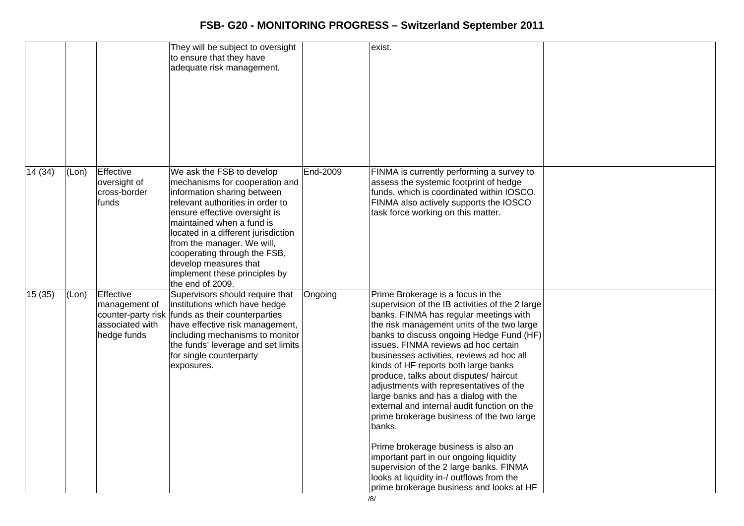|         |       |                                                              | They will be subject to oversight<br>to ensure that they have<br>adequate risk management.                                                                                                                                                                                                                                                                                      |          | exist.                                                                                                                                                                                                                                                                                                                                                                                                                                                                                                                                                                                                                                                                                                                                                                                                          |  |
|---------|-------|--------------------------------------------------------------|---------------------------------------------------------------------------------------------------------------------------------------------------------------------------------------------------------------------------------------------------------------------------------------------------------------------------------------------------------------------------------|----------|-----------------------------------------------------------------------------------------------------------------------------------------------------------------------------------------------------------------------------------------------------------------------------------------------------------------------------------------------------------------------------------------------------------------------------------------------------------------------------------------------------------------------------------------------------------------------------------------------------------------------------------------------------------------------------------------------------------------------------------------------------------------------------------------------------------------|--|
| 14 (34) | (Lon) | Effective<br>oversight of<br>cross-border<br>funds           | We ask the FSB to develop<br>mechanisms for cooperation and<br>information sharing between<br>relevant authorities in order to<br>ensure effective oversight is<br>maintained when a fund is<br>located in a different jurisdiction<br>from the manager. We will,<br>cooperating through the FSB,<br>develop measures that<br>implement these principles by<br>the end of 2009. | End-2009 | FINMA is currently performing a survey to<br>assess the systemic footprint of hedge<br>funds, which is coordinated within IOSCO.<br>FINMA also actively supports the IOSCO<br>task force working on this matter.                                                                                                                                                                                                                                                                                                                                                                                                                                                                                                                                                                                                |  |
| 15 (35) | (Lon) | Effective<br>management of<br>associated with<br>hedge funds | Supervisors should require that<br>institutions which have hedge<br>counter-party risk funds as their counterparties<br>have effective risk management,<br>including mechanisms to monitor<br>the funds' leverage and set limits<br>for single counterparty<br>exposures.                                                                                                       | Ongoing  | Prime Brokerage is a focus in the<br>supervision of the IB activities of the 2 large<br>banks. FINMA has regular meetings with<br>the risk management units of the two large<br>banks to discuss ongoing Hedge Fund (HF)<br>issues. FINMA reviews ad hoc certain<br>businesses activities, reviews ad hoc all<br>kinds of HF reports both large banks<br>produce, talks about disputes/ haircut<br>adjustments with representatives of the<br>large banks and has a dialog with the<br>external and internal audit function on the<br>prime brokerage business of the two large<br>banks.<br>Prime brokerage business is also an<br>important part in our ongoing liquidity<br>supervision of the 2 large banks. FINMA<br>looks at liquidity in-/ outflows from the<br>prime brokerage business and looks at HF |  |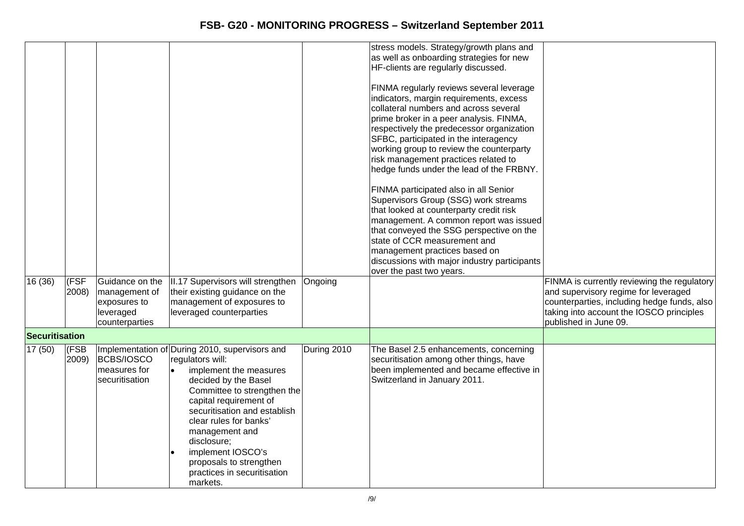|                |                |                                                                                 |                                                                                                                                                                                                                                                                                                                                                                                  |             | stress models. Strategy/growth plans and<br>as well as onboarding strategies for new<br>HF-clients are regularly discussed.<br>FINMA regularly reviews several leverage<br>indicators, margin requirements, excess<br>collateral numbers and across several<br>prime broker in a peer analysis. FINMA,<br>respectively the predecessor organization<br>SFBC, participated in the interagency<br>working group to review the counterparty<br>risk management practices related to |                                                                                                                                                                                                         |
|----------------|----------------|---------------------------------------------------------------------------------|----------------------------------------------------------------------------------------------------------------------------------------------------------------------------------------------------------------------------------------------------------------------------------------------------------------------------------------------------------------------------------|-------------|----------------------------------------------------------------------------------------------------------------------------------------------------------------------------------------------------------------------------------------------------------------------------------------------------------------------------------------------------------------------------------------------------------------------------------------------------------------------------------|---------------------------------------------------------------------------------------------------------------------------------------------------------------------------------------------------------|
|                |                |                                                                                 |                                                                                                                                                                                                                                                                                                                                                                                  |             | hedge funds under the lead of the FRBNY.<br>FINMA participated also in all Senior<br>Supervisors Group (SSG) work streams<br>that looked at counterparty credit risk<br>management. A common report was issued<br>that conveyed the SSG perspective on the<br>state of CCR measurement and<br>management practices based on<br>discussions with major industry participants<br>over the past two years.                                                                          |                                                                                                                                                                                                         |
| 16 (36)        | (FSF)<br>2008) | Guidance on the<br>management of<br>exposures to<br>leveraged<br>counterparties | II.17 Supervisors will strengthen<br>their existing guidance on the<br>management of exposures to<br>leveraged counterparties                                                                                                                                                                                                                                                    | Ongoing     |                                                                                                                                                                                                                                                                                                                                                                                                                                                                                  | FINMA is currently reviewing the regulatory<br>and supervisory regime for leveraged<br>counterparties, including hedge funds, also<br>taking into account the IOSCO principles<br>published in June 09. |
| Securitisation |                |                                                                                 |                                                                                                                                                                                                                                                                                                                                                                                  |             |                                                                                                                                                                                                                                                                                                                                                                                                                                                                                  |                                                                                                                                                                                                         |
| 17(50)         | (FSB<br>2009)  | BCBS/IOSCO<br>measures for<br>securitisation                                    | Implementation of During 2010, supervisors and<br>regulators will:<br>implement the measures<br>$\bullet$<br>decided by the Basel<br>Committee to strengthen the<br>capital requirement of<br>securitisation and establish<br>clear rules for banks'<br>management and<br>disclosure;<br>implement IOSCO's<br>proposals to strengthen<br>practices in securitisation<br>markets. | During 2010 | The Basel 2.5 enhancements, concerning<br>securitisation among other things, have<br>been implemented and became effective in<br>Switzerland in January 2011.                                                                                                                                                                                                                                                                                                                    |                                                                                                                                                                                                         |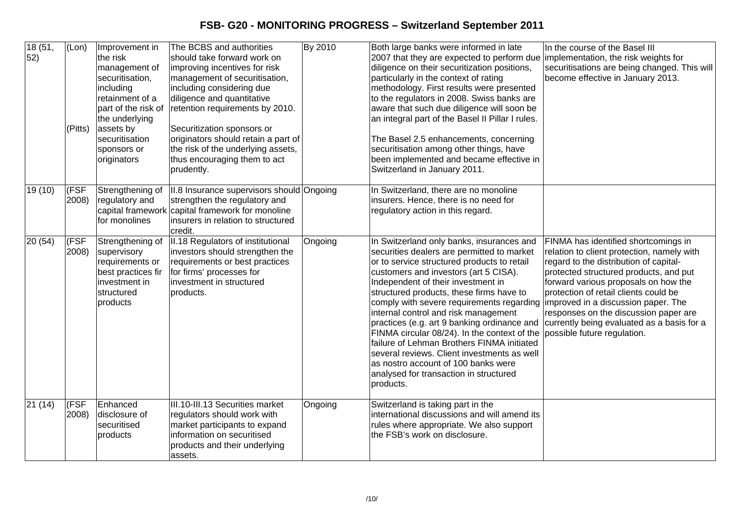| 18(51,<br>52)    | (Lon)<br>(Pitts) | Improvement in<br>the risk<br>management of<br>securitisation,<br>including<br>retainment of a<br>part of the risk of<br>the underlying<br>assets by<br>securitisation<br>sponsors or<br>originators | The BCBS and authorities<br>should take forward work on<br>improving incentives for risk<br>management of securitisation,<br>including considering due<br>diligence and quantitative<br>retention requirements by 2010.<br>Securitization sponsors or<br>originators should retain a part of<br>the risk of the underlying assets,<br>thus encouraging them to act<br>prudently. | By 2010 | Both large banks were informed in late<br>2007 that they are expected to perform due implementation, the risk weights for<br>diligence on their securitization positions,<br>particularly in the context of rating<br>methodology. First results were presented<br>to the regulators in 2008. Swiss banks are<br>aware that such due diligence will soon be<br>an integral part of the Basel II Pillar I rules.<br>The Basel 2.5 enhancements, concerning<br>securitisation among other things, have<br>been implemented and became effective in<br>Switzerland in January 2011.                                                                 | In the course of the Basel III<br>securitisations are being changed. This will<br>become effective in January 2013.                                                                                                                                                                                                                                                                                                  |
|------------------|------------------|------------------------------------------------------------------------------------------------------------------------------------------------------------------------------------------------------|----------------------------------------------------------------------------------------------------------------------------------------------------------------------------------------------------------------------------------------------------------------------------------------------------------------------------------------------------------------------------------|---------|--------------------------------------------------------------------------------------------------------------------------------------------------------------------------------------------------------------------------------------------------------------------------------------------------------------------------------------------------------------------------------------------------------------------------------------------------------------------------------------------------------------------------------------------------------------------------------------------------------------------------------------------------|----------------------------------------------------------------------------------------------------------------------------------------------------------------------------------------------------------------------------------------------------------------------------------------------------------------------------------------------------------------------------------------------------------------------|
| 19 (10)          | (FSF<br>(2008)   | Strengthening of<br>regulatory and<br>for monolines                                                                                                                                                  | II.8 Insurance supervisors should Ongoing<br>strengthen the regulatory and<br>capital framework capital framework for monoline<br>insurers in relation to structured<br>credit.                                                                                                                                                                                                  |         | In Switzerland, there are no monoline<br>insurers. Hence, there is no need for<br>regulatory action in this regard.                                                                                                                                                                                                                                                                                                                                                                                                                                                                                                                              |                                                                                                                                                                                                                                                                                                                                                                                                                      |
| 20 (54)          | (FSF<br>2008)    | Strengthening of<br>supervisory<br>requirements or<br>best practices fir<br>linvestment in<br>structured<br>products                                                                                 | II.18 Regulators of institutional<br>investors should strengthen the<br>requirements or best practices<br>for firms' processes for<br>investment in structured<br>products.                                                                                                                                                                                                      | Ongoing | In Switzerland only banks, insurances and<br>securities dealers are permitted to market<br>or to service structured products to retail<br>customers and investors (art 5 CISA).<br>Independent of their investment in<br>structured products, these firms have to<br>comply with severe requirements regarding<br>internal control and risk management<br>practices (e.g. art 9 banking ordinance and<br>FINMA circular 08/24). In the context of the<br>failure of Lehman Brothers FINMA initiated<br>several reviews. Client investments as well<br>as nostro account of 100 banks were<br>analysed for transaction in structured<br>products. | FINMA has identified shortcomings in<br>relation to client protection, namely with<br>regard to the distribution of capital-<br>protected structured products, and put<br>forward various proposals on how the<br>protection of retail clients could be<br>improved in a discussion paper. The<br>responses on the discussion paper are<br>currently being evaluated as a basis for a<br>possible future regulation. |
| $\sqrt{21}$ (14) | (FSF<br>2008)    | Enhanced<br>disclosure of<br>securitised<br>products                                                                                                                                                 | III.10-III.13 Securities market<br>regulators should work with<br>market participants to expand<br>information on securitised<br>products and their underlying<br>assets.                                                                                                                                                                                                        | Ongoing | Switzerland is taking part in the<br>international discussions and will amend its<br>rules where appropriate. We also support<br>the FSB's work on disclosure.                                                                                                                                                                                                                                                                                                                                                                                                                                                                                   |                                                                                                                                                                                                                                                                                                                                                                                                                      |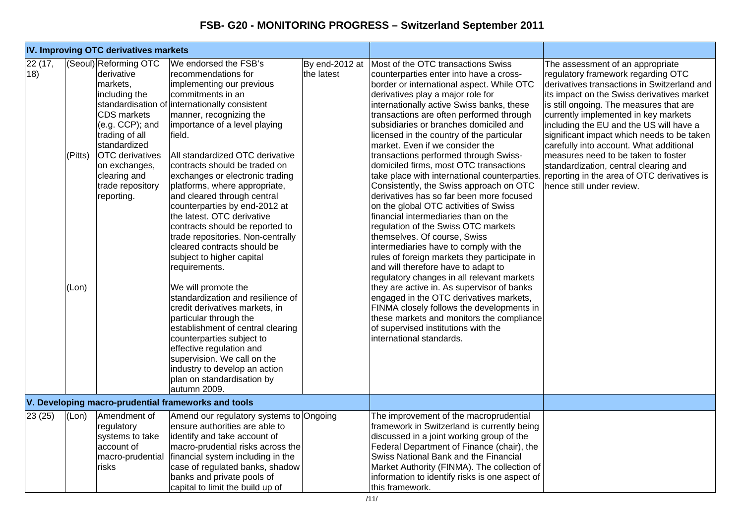| IV. Improving OTC derivatives markets |                  |                                                                                                                                                                                                                                          |                                                                                                                                                                                                                                                                                                                                                                                                                                                                                                                                                                                                                                                                                                                                                                                                                                                                                                                                                      |            |                                                                                                                                                                                                                                                                                                                                                                                                                                                                                                                                                                                                                                                                                                                                                                                                                                                                                                                                                                                                                                                                                                                                                                                                                           |                                                                                                                                                                                                                                                                                                                                                                                                                                                                                                                                                        |
|---------------------------------------|------------------|------------------------------------------------------------------------------------------------------------------------------------------------------------------------------------------------------------------------------------------|------------------------------------------------------------------------------------------------------------------------------------------------------------------------------------------------------------------------------------------------------------------------------------------------------------------------------------------------------------------------------------------------------------------------------------------------------------------------------------------------------------------------------------------------------------------------------------------------------------------------------------------------------------------------------------------------------------------------------------------------------------------------------------------------------------------------------------------------------------------------------------------------------------------------------------------------------|------------|---------------------------------------------------------------------------------------------------------------------------------------------------------------------------------------------------------------------------------------------------------------------------------------------------------------------------------------------------------------------------------------------------------------------------------------------------------------------------------------------------------------------------------------------------------------------------------------------------------------------------------------------------------------------------------------------------------------------------------------------------------------------------------------------------------------------------------------------------------------------------------------------------------------------------------------------------------------------------------------------------------------------------------------------------------------------------------------------------------------------------------------------------------------------------------------------------------------------------|--------------------------------------------------------------------------------------------------------------------------------------------------------------------------------------------------------------------------------------------------------------------------------------------------------------------------------------------------------------------------------------------------------------------------------------------------------------------------------------------------------------------------------------------------------|
| 22 (17,<br>18)                        | (Pitts)<br>(Lon) | (Seoul) Reforming OTC<br>derivative<br>markets,<br>including the<br><b>CDS</b> markets<br>(e.g. CCP); and<br>trading of all<br>standardized<br><b>OTC</b> derivatives<br>on exchanges,<br>clearing and<br>trade repository<br>reporting. | We endorsed the FSB's<br>recommendations for<br>implementing our previous<br>commitments in an<br>standardisation of internationally consistent<br>manner, recognizing the<br>importance of a level playing<br>field.<br>All standardized OTC derivative<br>contracts should be traded on<br>exchanges or electronic trading<br>platforms, where appropriate,<br>and cleared through central<br>counterparties by end-2012 at<br>the latest. OTC derivative<br>contracts should be reported to<br>trade repositories. Non-centrally<br>cleared contracts should be<br>subject to higher capital<br>requirements.<br>We will promote the<br>standardization and resilience of<br>credit derivatives markets, in<br>particular through the<br>establishment of central clearing<br>counterparties subject to<br>effective regulation and<br>supervision. We call on the<br>industry to develop an action<br>plan on standardisation by<br>autumn 2009. | the latest | By end-2012 at Most of the OTC transactions Swiss<br>counterparties enter into have a cross-<br>border or international aspect. While OTC<br>derivatives play a major role for<br>internationally active Swiss banks, these<br>transactions are often performed through<br>subsidiaries or branches domiciled and<br>licensed in the country of the particular<br>market. Even if we consider the<br>transactions performed through Swiss-<br>domiciled firms, most OTC transactions<br>take place with international counterparties.<br>Consistently, the Swiss approach on OTC<br>derivatives has so far been more focused<br>on the global OTC activities of Swiss<br>financial intermediaries than on the<br>regulation of the Swiss OTC markets<br>themselves. Of course, Swiss<br>intermediaries have to comply with the<br>rules of foreign markets they participate in<br>and will therefore have to adapt to<br>regulatory changes in all relevant markets<br>they are active in. As supervisor of banks<br>engaged in the OTC derivatives markets,<br>FINMA closely follows the developments in<br>these markets and monitors the compliance<br>of supervised institutions with the<br>international standards. | The assessment of an appropriate<br>regulatory framework regarding OTC<br>derivatives transactions in Switzerland and<br>its impact on the Swiss derivatives market<br>is still ongoing. The measures that are<br>currently implemented in key markets<br>including the EU and the US will have a<br>significant impact which needs to be taken<br>carefully into account. What additional<br>measures need to be taken to foster<br>standardization, central clearing and<br>reporting in the area of OTC derivatives is<br>hence still under review. |
|                                       |                  |                                                                                                                                                                                                                                          | V. Developing macro-prudential frameworks and tools                                                                                                                                                                                                                                                                                                                                                                                                                                                                                                                                                                                                                                                                                                                                                                                                                                                                                                  |            |                                                                                                                                                                                                                                                                                                                                                                                                                                                                                                                                                                                                                                                                                                                                                                                                                                                                                                                                                                                                                                                                                                                                                                                                                           |                                                                                                                                                                                                                                                                                                                                                                                                                                                                                                                                                        |
| 23(25)                                | (Lon)            | Amendment of<br>regulatory<br>systems to take<br>account of<br>macro-prudential<br>risks                                                                                                                                                 | Amend our regulatory systems to Ongoing<br>ensure authorities are able to<br>identify and take account of<br>macro-prudential risks across the<br>financial system including in the<br>case of regulated banks, shadow<br>banks and private pools of<br>capital to limit the build up of                                                                                                                                                                                                                                                                                                                                                                                                                                                                                                                                                                                                                                                             |            | The improvement of the macroprudential<br>framework in Switzerland is currently being<br>discussed in a joint working group of the<br>Federal Department of Finance (chair), the<br>Swiss National Bank and the Financial<br>Market Authority (FINMA). The collection of<br>information to identify risks is one aspect of<br>this framework.                                                                                                                                                                                                                                                                                                                                                                                                                                                                                                                                                                                                                                                                                                                                                                                                                                                                             |                                                                                                                                                                                                                                                                                                                                                                                                                                                                                                                                                        |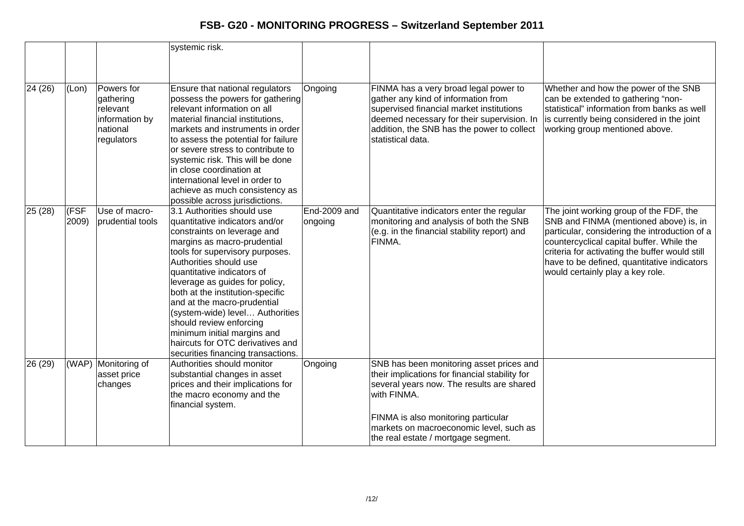|         |               |                                                                                 | systemic risk.                                                                                                                                                                                                                                                                                                                                                                                                                                                                                    |                                |                                                                                                                                                                                                                                                                                 |                                                                                                                                                                                                                                                                                                                      |
|---------|---------------|---------------------------------------------------------------------------------|---------------------------------------------------------------------------------------------------------------------------------------------------------------------------------------------------------------------------------------------------------------------------------------------------------------------------------------------------------------------------------------------------------------------------------------------------------------------------------------------------|--------------------------------|---------------------------------------------------------------------------------------------------------------------------------------------------------------------------------------------------------------------------------------------------------------------------------|----------------------------------------------------------------------------------------------------------------------------------------------------------------------------------------------------------------------------------------------------------------------------------------------------------------------|
|         |               |                                                                                 |                                                                                                                                                                                                                                                                                                                                                                                                                                                                                                   |                                |                                                                                                                                                                                                                                                                                 |                                                                                                                                                                                                                                                                                                                      |
| 24 (26) | (Lon)         | Powers for<br>gathering<br>relevant<br>information by<br>national<br>regulators | Ensure that national regulators<br>possess the powers for gathering<br>relevant information on all<br>material financial institutions,<br>markets and instruments in order<br>to assess the potential for failure<br>or severe stress to contribute to<br>systemic risk. This will be done<br>lin close coordination at<br>international level in order to<br>achieve as much consistency as<br>possible across jurisdictions.                                                                    | Ongoing                        | FINMA has a very broad legal power to<br>gather any kind of information from<br>supervised financial market institutions<br>deemed necessary for their supervision. In<br>addition, the SNB has the power to collect<br>statistical data.                                       | Whether and how the power of the SNB<br>can be extended to gathering "non-<br>statistical" information from banks as well<br>is currently being considered in the joint<br>working group mentioned above.                                                                                                            |
| 25(28)  | (FSF<br>2009) | Use of macro-<br>prudential tools                                               | 3.1 Authorities should use<br>quantitative indicators and/or<br>constraints on leverage and<br>margins as macro-prudential<br>tools for supervisory purposes.<br>Authorities should use<br>quantitative indicators of<br>leverage as guides for policy,<br>both at the institution-specific<br>and at the macro-prudential<br>(system-wide) level Authorities<br>should review enforcing<br>minimum initial margins and<br>haircuts for OTC derivatives and<br>securities financing transactions. | <b>End-2009 and</b><br>ongoing | Quantitative indicators enter the regular<br>monitoring and analysis of both the SNB<br>(e.g. in the financial stability report) and<br>FINMA.                                                                                                                                  | The joint working group of the FDF, the<br>SNB and FINMA (mentioned above) is, in<br>particular, considering the introduction of a<br>countercyclical capital buffer. While the<br>criteria for activating the buffer would still<br>have to be defined, quantitative indicators<br>would certainly play a key role. |
| 26 (29) |               | (WAP) Monitoring of<br>asset price<br>changes                                   | Authorities should monitor<br>substantial changes in asset<br>prices and their implications for<br>the macro economy and the<br>financial system.                                                                                                                                                                                                                                                                                                                                                 | Ongoing                        | SNB has been monitoring asset prices and<br>their implications for financial stability for<br>several years now. The results are shared<br>with FINMA.<br>FINMA is also monitoring particular<br>markets on macroeconomic level, such as<br>the real estate / mortgage segment. |                                                                                                                                                                                                                                                                                                                      |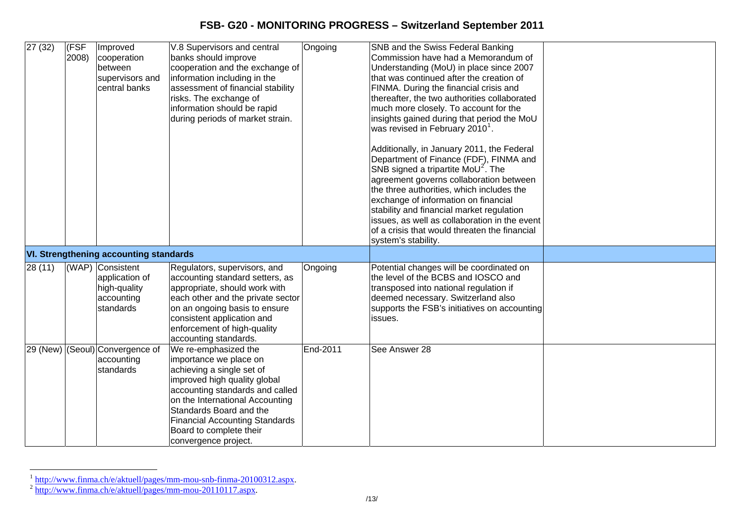| 27(32)   | (FSF<br>2008) | Improved<br>cooperation<br>between<br>supervisors and<br>central banks        | V.8 Supervisors and central<br>banks should improve<br>cooperation and the exchange of<br>information including in the<br>assessment of financial stability<br>risks. The exchange of<br>information should be rapid<br>during periods of market strain.                                                 | Ongoing  | SNB and the Swiss Federal Banking<br>Commission have had a Memorandum of<br>Understanding (MoU) in place since 2007<br>that was continued after the creation of<br>FINMA. During the financial crisis and<br>thereafter, the two authorities collaborated<br>much more closely. To account for the<br>insights gained during that period the MoU<br>was revised in February 2010 $^{\circ}$ .<br>Additionally, in January 2011, the Federal<br>Department of Finance (FDF), FINMA and<br>SNB signed a tripartite $M_0U^2$ . The<br>agreement governs collaboration between<br>the three authorities, which includes the<br>exchange of information on financial<br>stability and financial market regulation<br>issues, as well as collaboration in the event<br>of a crisis that would threaten the financial<br>system's stability. |  |
|----------|---------------|-------------------------------------------------------------------------------|----------------------------------------------------------------------------------------------------------------------------------------------------------------------------------------------------------------------------------------------------------------------------------------------------------|----------|---------------------------------------------------------------------------------------------------------------------------------------------------------------------------------------------------------------------------------------------------------------------------------------------------------------------------------------------------------------------------------------------------------------------------------------------------------------------------------------------------------------------------------------------------------------------------------------------------------------------------------------------------------------------------------------------------------------------------------------------------------------------------------------------------------------------------------------|--|
|          |               | <b>VI. Strengthening accounting standards</b>                                 |                                                                                                                                                                                                                                                                                                          |          |                                                                                                                                                                                                                                                                                                                                                                                                                                                                                                                                                                                                                                                                                                                                                                                                                                       |  |
| 28 (11)  |               | (WAP) Consistent<br>application of<br>high-quality<br>accounting<br>standards | Regulators, supervisors, and<br>accounting standard setters, as<br>appropriate, should work with<br>each other and the private sector<br>on an ongoing basis to ensure<br>consistent application and<br>enforcement of high-quality<br>accounting standards.                                             | Ongoing  | Potential changes will be coordinated on<br>the level of the BCBS and IOSCO and<br>transposed into national regulation if<br>deemed necessary. Switzerland also<br>supports the FSB's initiatives on accounting<br>issues.                                                                                                                                                                                                                                                                                                                                                                                                                                                                                                                                                                                                            |  |
| 29 (New) |               | (Seoul) Convergence of<br>accounting<br>standards                             | We re-emphasized the<br>importance we place on<br>achieving a single set of<br>improved high quality global<br>accounting standards and called<br>on the International Accounting<br>Standards Board and the<br><b>Financial Accounting Standards</b><br>Board to complete their<br>convergence project. | End-2011 | See Answer 28                                                                                                                                                                                                                                                                                                                                                                                                                                                                                                                                                                                                                                                                                                                                                                                                                         |  |

<span id="page-12-0"></span><sup>&</sup>lt;sup>1</sup> <http://www.finma.ch/e/aktuell/pages/mm-mou-snb-finma-20100312.aspx>.<br><sup>2</sup> <http://www.finma.ch/e/aktuell/pages/mm-mou-20110117.aspx>.

<span id="page-12-1"></span>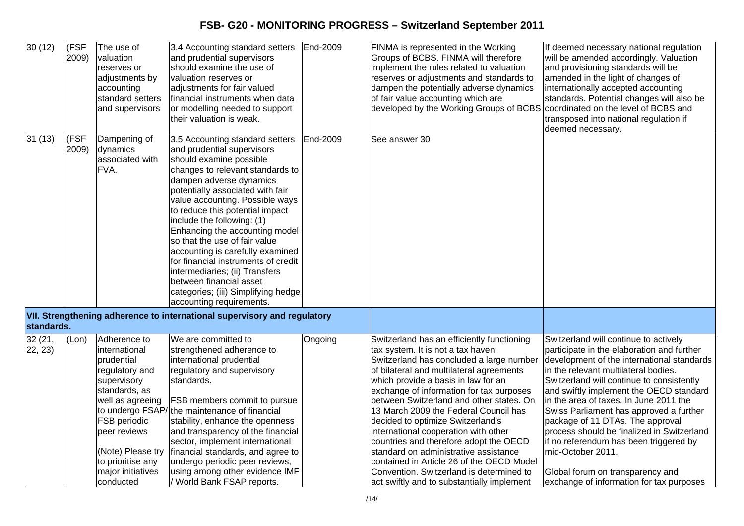| 30(12)             | (FSF<br>2009) | The use of<br>valuation<br>reserves or<br>adjustments by<br>accounting<br>standard setters<br>and supervisors                                                                                                                 | 3.4 Accounting standard setters   End-2009<br>and prudential supervisors<br>should examine the use of<br>valuation reserves or<br>adjustments for fair valued<br>financial instruments when data<br>or modelling needed to support<br>their valuation is weak.                                                                                                                                                                                                                                                                                                                |          | FINMA is represented in the Working<br>Groups of BCBS. FINMA will therefore<br>implement the rules related to valuation<br>reserves or adjustments and standards to<br>dampen the potentially adverse dynamics<br>of fair value accounting which are<br>developed by the Working Groups of BCBS                                                                                                                                                                                                                                                                                                                                                         | If deemed necessary national regulation<br>will be amended accordingly. Valuation<br>and provisioning standards will be<br>amended in the light of changes of<br>internationally accepted accounting<br>standards. Potential changes will also be<br>coordinated on the level of BCBS and<br>transposed into national regulation if<br>deemed necessary.                                                                                                                                                                                                                                |
|--------------------|---------------|-------------------------------------------------------------------------------------------------------------------------------------------------------------------------------------------------------------------------------|-------------------------------------------------------------------------------------------------------------------------------------------------------------------------------------------------------------------------------------------------------------------------------------------------------------------------------------------------------------------------------------------------------------------------------------------------------------------------------------------------------------------------------------------------------------------------------|----------|---------------------------------------------------------------------------------------------------------------------------------------------------------------------------------------------------------------------------------------------------------------------------------------------------------------------------------------------------------------------------------------------------------------------------------------------------------------------------------------------------------------------------------------------------------------------------------------------------------------------------------------------------------|-----------------------------------------------------------------------------------------------------------------------------------------------------------------------------------------------------------------------------------------------------------------------------------------------------------------------------------------------------------------------------------------------------------------------------------------------------------------------------------------------------------------------------------------------------------------------------------------|
| 31(13)             | (FSF<br>2009) | Dampening of<br>dynamics<br>associated with<br>FVA.                                                                                                                                                                           | 3.5 Accounting standard setters<br>and prudential supervisors<br>should examine possible<br>changes to relevant standards to<br>dampen adverse dynamics<br>potentially associated with fair<br>value accounting. Possible ways<br>to reduce this potential impact<br>include the following: (1)<br>Enhancing the accounting model<br>so that the use of fair value<br>accounting is carefully examined<br>for financial instruments of credit<br>intermediaries; (ii) Transfers<br>between financial asset<br>categories; (iii) Simplifying hedge<br>accounting requirements. | End-2009 | See answer 30                                                                                                                                                                                                                                                                                                                                                                                                                                                                                                                                                                                                                                           |                                                                                                                                                                                                                                                                                                                                                                                                                                                                                                                                                                                         |
| standards.         |               |                                                                                                                                                                                                                               | VII. Strengthening adherence to international supervisory and regulatory                                                                                                                                                                                                                                                                                                                                                                                                                                                                                                      |          |                                                                                                                                                                                                                                                                                                                                                                                                                                                                                                                                                                                                                                                         |                                                                                                                                                                                                                                                                                                                                                                                                                                                                                                                                                                                         |
| 32 (21,<br>22, 23) | (Lon)         | Adherence to<br>international<br>prudential<br>regulatory and<br>supervisory<br>standards, as<br>well as agreeing<br>FSB periodic<br>peer reviews<br>(Note) Please try<br>to prioritise any<br>major initiatives<br>conducted | We are committed to<br>strengthened adherence to<br>international prudential<br>regulatory and supervisory<br>standards.<br>FSB members commit to pursue<br>to undergo FSAP/the maintenance of financial<br>stability, enhance the openness<br>and transparency of the financial<br>sector, implement international<br>financial standards, and agree to<br>undergo periodic peer reviews,<br>using among other evidence IMF<br>/ World Bank FSAP reports.                                                                                                                    | Ongoing  | Switzerland has an efficiently functioning<br>tax system. It is not a tax haven.<br>Switzerland has concluded a large number<br>of bilateral and multilateral agreements<br>which provide a basis in law for an<br>exchange of information for tax purposes<br>between Switzerland and other states. On<br>13 March 2009 the Federal Council has<br>decided to optimize Switzerland's<br>international cooperation with other<br>countries and therefore adopt the OECD<br>standard on administrative assistance<br>contained in Article 26 of the OECD Model<br>Convention. Switzerland is determined to<br>act swiftly and to substantially implement | Switzerland will continue to actively<br>participate in the elaboration and further<br>development of the international standards<br>in the relevant multilateral bodies.<br>Switzerland will continue to consistently<br>and swiftly implement the OECD standard<br>in the area of taxes. In June 2011 the<br>Swiss Parliament has approved a further<br>package of 11 DTAs. The approval<br>process should be finalized in Switzerland<br>if no referendum has been triggered by<br>mid-October 2011.<br>Global forum on transparency and<br>exchange of information for tax purposes |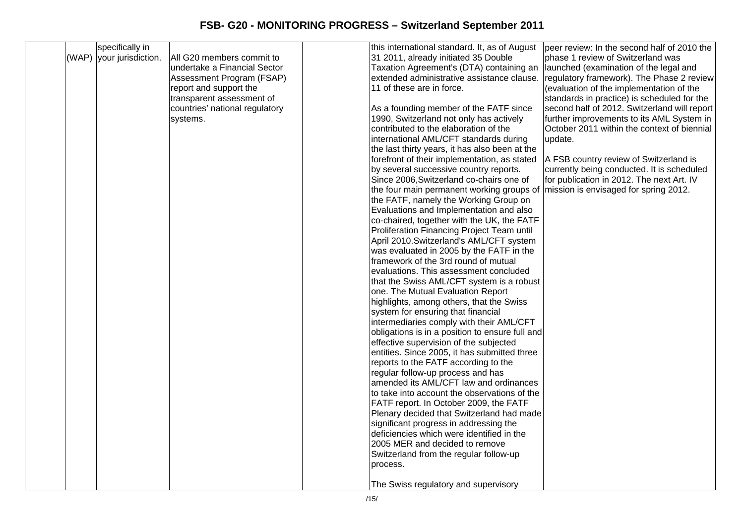|  | specifically in          |                                | this international standard. It, as of August   | peer review: In the second half of 2010 the  |
|--|--------------------------|--------------------------------|-------------------------------------------------|----------------------------------------------|
|  | (WAP) your jurisdiction. | All G20 members commit to      | 31 2011, already initiated 35 Double            | phase 1 review of Switzerland was            |
|  |                          | undertake a Financial Sector   | Taxation Agreement's (DTA) containing an        | launched (examination of the legal and       |
|  |                          | Assessment Program (FSAP)      | extended administrative assistance clause.      | regulatory framework). The Phase 2 review    |
|  |                          | report and support the         | 11 of these are in force.                       | (evaluation of the implementation of the     |
|  |                          | transparent assessment of      |                                                 | standards in practice) is scheduled for the  |
|  |                          | countries' national regulatory | As a founding member of the FATF since          | second half of 2012. Switzerland will report |
|  |                          | systems.                       | 1990, Switzerland not only has actively         | further improvements to its AML System in    |
|  |                          |                                | contributed to the elaboration of the           | October 2011 within the context of biennial  |
|  |                          |                                | international AML/CFT standards during          | update.                                      |
|  |                          |                                | the last thirty years, it has also been at the  |                                              |
|  |                          |                                | forefront of their implementation, as stated    | A FSB country review of Switzerland is       |
|  |                          |                                | by several successive country reports.          | currently being conducted. It is scheduled   |
|  |                          |                                | Since 2006, Switzerland co-chairs one of        | for publication in 2012. The next Art. IV    |
|  |                          |                                | the four main permanent working groups of       | mission is envisaged for spring 2012.        |
|  |                          |                                | the FATF, namely the Working Group on           |                                              |
|  |                          |                                | Evaluations and Implementation and also         |                                              |
|  |                          |                                | co-chaired, together with the UK, the FATF      |                                              |
|  |                          |                                | Proliferation Financing Project Team until      |                                              |
|  |                          |                                | April 2010.Switzerland's AML/CFT system         |                                              |
|  |                          |                                | was evaluated in 2005 by the FATF in the        |                                              |
|  |                          |                                | framework of the 3rd round of mutual            |                                              |
|  |                          |                                | evaluations. This assessment concluded          |                                              |
|  |                          |                                | that the Swiss AML/CFT system is a robust       |                                              |
|  |                          |                                | one. The Mutual Evaluation Report               |                                              |
|  |                          |                                | highlights, among others, that the Swiss        |                                              |
|  |                          |                                | system for ensuring that financial              |                                              |
|  |                          |                                | intermediaries comply with their AML/CFT        |                                              |
|  |                          |                                | obligations is in a position to ensure full and |                                              |
|  |                          |                                | effective supervision of the subjected          |                                              |
|  |                          |                                | entities. Since 2005, it has submitted three    |                                              |
|  |                          |                                | reports to the FATF according to the            |                                              |
|  |                          |                                | regular follow-up process and has               |                                              |
|  |                          |                                | amended its AML/CFT law and ordinances          |                                              |
|  |                          |                                | to take into account the observations of the    |                                              |
|  |                          |                                | FATF report. In October 2009, the FATF          |                                              |
|  |                          |                                | Plenary decided that Switzerland had made       |                                              |
|  |                          |                                | significant progress in addressing the          |                                              |
|  |                          |                                | deficiencies which were identified in the       |                                              |
|  |                          |                                | 2005 MER and decided to remove                  |                                              |
|  |                          |                                | Switzerland from the regular follow-up          |                                              |
|  |                          |                                | process.                                        |                                              |
|  |                          |                                |                                                 |                                              |
|  |                          |                                | The Swiss regulatory and supervisory            |                                              |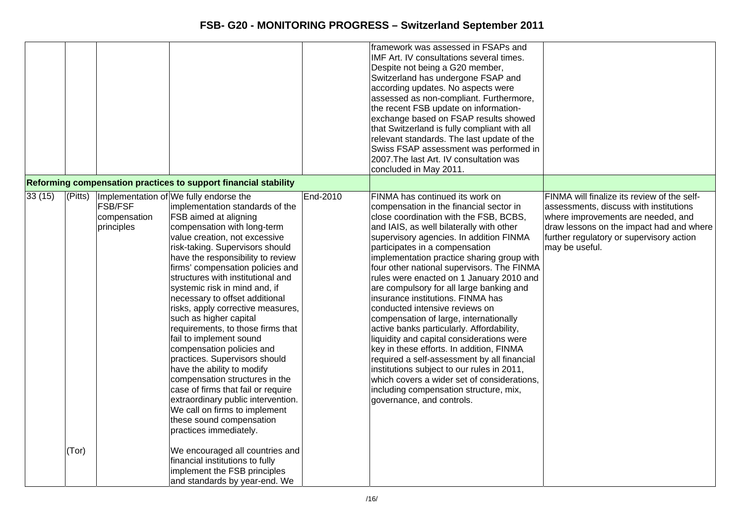|                                                                            |                                                                                                                                                                                                                                                                                                                                                                                                                                                                                                                                                                                                                                                                                                                                                                                                                                                                                                                              |          | framework was assessed in FSAPs and<br>IMF Art. IV consultations several times.<br>Despite not being a G20 member,<br>Switzerland has undergone FSAP and<br>according updates. No aspects were<br>assessed as non-compliant. Furthermore,<br>the recent FSB update on information-<br>exchange based on FSAP results showed<br>that Switzerland is fully compliant with all<br>relevant standards. The last update of the<br>Swiss FSAP assessment was performed in<br>2007. The last Art. IV consultation was<br>concluded in May 2011.                                                                                                                                                                                                                                                                                                                                                                    |                                                                                                                                                                                                                                       |
|----------------------------------------------------------------------------|------------------------------------------------------------------------------------------------------------------------------------------------------------------------------------------------------------------------------------------------------------------------------------------------------------------------------------------------------------------------------------------------------------------------------------------------------------------------------------------------------------------------------------------------------------------------------------------------------------------------------------------------------------------------------------------------------------------------------------------------------------------------------------------------------------------------------------------------------------------------------------------------------------------------------|----------|-------------------------------------------------------------------------------------------------------------------------------------------------------------------------------------------------------------------------------------------------------------------------------------------------------------------------------------------------------------------------------------------------------------------------------------------------------------------------------------------------------------------------------------------------------------------------------------------------------------------------------------------------------------------------------------------------------------------------------------------------------------------------------------------------------------------------------------------------------------------------------------------------------------|---------------------------------------------------------------------------------------------------------------------------------------------------------------------------------------------------------------------------------------|
| Reforming compensation practices to support financial stability            |                                                                                                                                                                                                                                                                                                                                                                                                                                                                                                                                                                                                                                                                                                                                                                                                                                                                                                                              |          |                                                                                                                                                                                                                                                                                                                                                                                                                                                                                                                                                                                                                                                                                                                                                                                                                                                                                                             |                                                                                                                                                                                                                                       |
| 33(15)<br>(Pitts)<br><b>FSB/FSF</b><br>compensation<br>principles<br>(Tor) | Implementation of We fully endorse the<br>implementation standards of the<br>FSB aimed at aligning<br>compensation with long-term<br>value creation, not excessive<br>risk-taking. Supervisors should<br>have the responsibility to review<br>firms' compensation policies and<br>structures with institutional and<br>systemic risk in mind and, if<br>necessary to offset additional<br>risks, apply corrective measures,<br>such as higher capital<br>requirements, to those firms that<br>fail to implement sound<br>compensation policies and<br>practices. Supervisors should<br>have the ability to modify<br>compensation structures in the<br>case of firms that fail or require<br>extraordinary public intervention.<br>We call on firms to implement<br>these sound compensation<br>practices immediately.<br>We encouraged all countries and<br>financial institutions to fully<br>implement the FSB principles | End-2010 | FINMA has continued its work on<br>compensation in the financial sector in<br>close coordination with the FSB, BCBS,<br>and IAIS, as well bilaterally with other<br>supervisory agencies. In addition FINMA<br>participates in a compensation<br>implementation practice sharing group with<br>four other national supervisors. The FINMA<br>rules were enacted on 1 January 2010 and<br>are compulsory for all large banking and<br>insurance institutions. FINMA has<br>conducted intensive reviews on<br>compensation of large, internationally<br>active banks particularly. Affordability,<br>liquidity and capital considerations were<br>key in these efforts. In addition, FINMA<br>required a self-assessment by all financial<br>institutions subject to our rules in 2011,<br>which covers a wider set of considerations,<br>including compensation structure, mix,<br>governance, and controls. | FINMA will finalize its review of the self-<br>assessments, discuss with institutions<br>where improvements are needed, and<br>draw lessons on the impact had and where<br>further regulatory or supervisory action<br>may be useful. |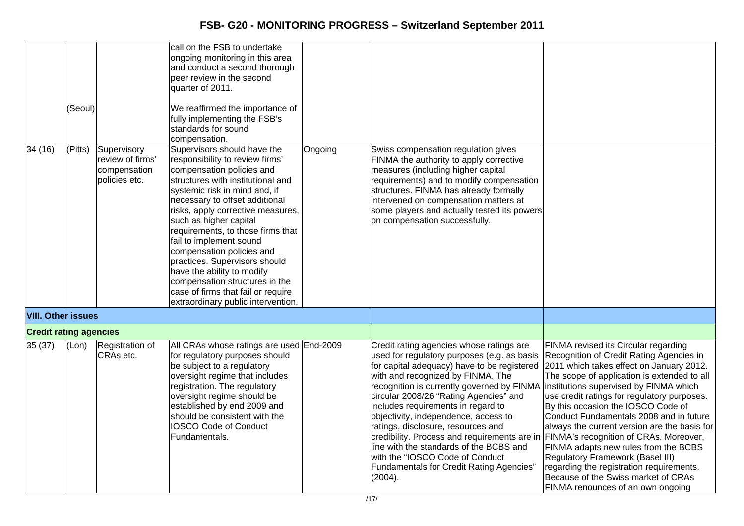| 34 (16)                       | (Seoul)<br>(Pitts) | Supervisory<br>review of firms'<br>compensation<br>policies etc. | call on the FSB to undertake<br>ongoing monitoring in this area<br>and conduct a second thorough<br>peer review in the second<br>quarter of 2011.<br>We reaffirmed the importance of<br>fully implementing the FSB's<br>standards for sound<br>compensation.<br>Supervisors should have the<br>responsibility to review firms'<br>compensation policies and<br>structures with institutional and<br>systemic risk in mind and, if<br>necessary to offset additional<br>risks, apply corrective measures,<br>such as higher capital<br>requirements, to those firms that<br>fail to implement sound<br>compensation policies and<br>practices. Supervisors should<br>have the ability to modify | Ongoing | Swiss compensation regulation gives<br>FINMA the authority to apply corrective<br>measures (including higher capital<br>requirements) and to modify compensation<br>structures. FINMA has already formally<br>intervened on compensation matters at<br>some players and actually tested its powers<br>on compensation successfully.                                                                                                                                                                                                                                                                                                                                 |                                                                                                                                                                                                                                                                                                                                                                                                                                                                                                                                                               |
|-------------------------------|--------------------|------------------------------------------------------------------|------------------------------------------------------------------------------------------------------------------------------------------------------------------------------------------------------------------------------------------------------------------------------------------------------------------------------------------------------------------------------------------------------------------------------------------------------------------------------------------------------------------------------------------------------------------------------------------------------------------------------------------------------------------------------------------------|---------|---------------------------------------------------------------------------------------------------------------------------------------------------------------------------------------------------------------------------------------------------------------------------------------------------------------------------------------------------------------------------------------------------------------------------------------------------------------------------------------------------------------------------------------------------------------------------------------------------------------------------------------------------------------------|---------------------------------------------------------------------------------------------------------------------------------------------------------------------------------------------------------------------------------------------------------------------------------------------------------------------------------------------------------------------------------------------------------------------------------------------------------------------------------------------------------------------------------------------------------------|
|                               |                    |                                                                  | compensation structures in the<br>case of firms that fail or require<br>extraordinary public intervention.                                                                                                                                                                                                                                                                                                                                                                                                                                                                                                                                                                                     |         |                                                                                                                                                                                                                                                                                                                                                                                                                                                                                                                                                                                                                                                                     |                                                                                                                                                                                                                                                                                                                                                                                                                                                                                                                                                               |
| <b>VIII. Other issues</b>     |                    |                                                                  |                                                                                                                                                                                                                                                                                                                                                                                                                                                                                                                                                                                                                                                                                                |         |                                                                                                                                                                                                                                                                                                                                                                                                                                                                                                                                                                                                                                                                     |                                                                                                                                                                                                                                                                                                                                                                                                                                                                                                                                                               |
| <b>Credit rating agencies</b> |                    |                                                                  |                                                                                                                                                                                                                                                                                                                                                                                                                                                                                                                                                                                                                                                                                                |         |                                                                                                                                                                                                                                                                                                                                                                                                                                                                                                                                                                                                                                                                     |                                                                                                                                                                                                                                                                                                                                                                                                                                                                                                                                                               |
| 35(37)                        | (Lon)              | Registration of<br>CRAs etc.                                     | All CRAs whose ratings are used End-2009<br>for regulatory purposes should<br>be subject to a regulatory<br>oversight regime that includes<br>registration. The regulatory<br>oversight regime should be<br>established by end 2009 and<br>should be consistent with the<br><b>IOSCO Code of Conduct</b><br>Fundamentals.                                                                                                                                                                                                                                                                                                                                                                      |         | Credit rating agencies whose ratings are<br>used for regulatory purposes (e.g. as basis<br>for capital adequacy) have to be registered 2011 which takes effect on January 2012.<br>with and recognized by FINMA. The<br>recognition is currently governed by FINMA institutions supervised by FINMA which<br>circular 2008/26 "Rating Agencies" and<br>includes requirements in regard to<br>objectivity, independence, access to<br>ratings, disclosure, resources and<br>credibility. Process and requirements are in<br>line with the standards of the BCBS and<br>with the "IOSCO Code of Conduct<br><b>Fundamentals for Credit Rating Agencies"</b><br>(2004). | FINMA revised its Circular regarding<br>Recognition of Credit Rating Agencies in<br>The scope of application is extended to all<br>use credit ratings for regulatory purposes.<br>By this occasion the IOSCO Code of<br>Conduct Fundamentals 2008 and in future<br>always the current version are the basis for<br>FINMA's recognition of CRAs. Moreover,<br>FINMA adapts new rules from the BCBS<br>Regulatory Framework (Basel III)<br>regarding the registration requirements.<br>Because of the Swiss market of CRAs<br>FINMA renounces of an own ongoing |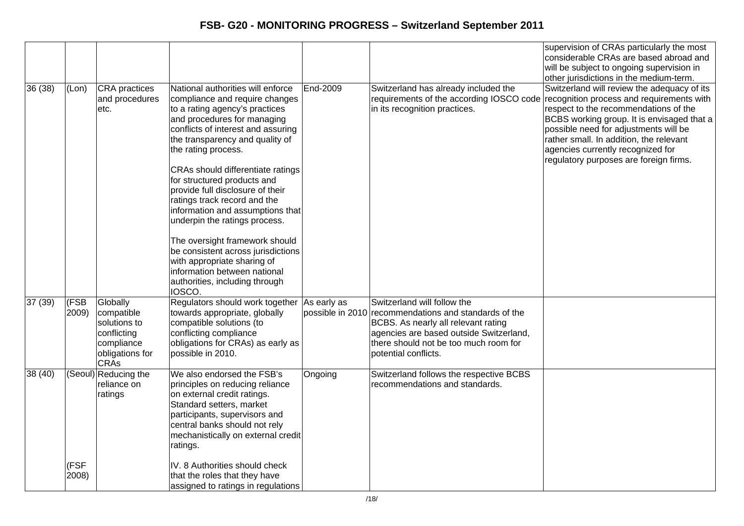|        |               |                                                                                                       |                                                                                                                                                                                                                                                                                                                                              |                  |                                                                                                                                                                                                                        | supervision of CRAs particularly the most<br>considerable CRAs are based abroad and<br>will be subject to ongoing supervision in<br>other jurisdictions in the medium-term.                                                                                                                                                                        |
|--------|---------------|-------------------------------------------------------------------------------------------------------|----------------------------------------------------------------------------------------------------------------------------------------------------------------------------------------------------------------------------------------------------------------------------------------------------------------------------------------------|------------------|------------------------------------------------------------------------------------------------------------------------------------------------------------------------------------------------------------------------|----------------------------------------------------------------------------------------------------------------------------------------------------------------------------------------------------------------------------------------------------------------------------------------------------------------------------------------------------|
| 36(38) | (Lon)         | <b>CRA</b> practices<br>and procedures<br>etc.                                                        | National authorities will enforce<br>compliance and require changes<br>to a rating agency's practices<br>and procedures for managing<br>conflicts of interest and assuring<br>the transparency and quality of<br>the rating process.<br>CRAs should differentiate ratings<br>for structured products and<br>provide full disclosure of their | End-2009         | Switzerland has already included the<br>requirements of the according IOSCO code<br>in its recognition practices.                                                                                                      | Switzerland will review the adequacy of its<br>recognition process and requirements with<br>respect to the recommendations of the<br>BCBS working group. It is envisaged that a<br>possible need for adjustments will be<br>rather small. In addition, the relevant<br>agencies currently recognized for<br>regulatory purposes are foreign firms. |
|        |               |                                                                                                       | ratings track record and the<br>information and assumptions that<br>underpin the ratings process.<br>The oversight framework should<br>be consistent across jurisdictions<br>with appropriate sharing of<br>information between national<br>authorities, including through<br>IOSCO.                                                         |                  |                                                                                                                                                                                                                        |                                                                                                                                                                                                                                                                                                                                                    |
| 37(39) | (FSB<br>2009) | Globally<br>compatible<br>solutions to<br>conflicting<br>compliance<br>obligations for<br><b>CRAs</b> | Regulators should work together As early as<br>towards appropriate, globally<br>compatible solutions (to<br>conflicting compliance<br>obligations for CRAs) as early as<br>possible in 2010.                                                                                                                                                 | possible in 2010 | Switzerland will follow the<br>recommendations and standards of the<br>BCBS. As nearly all relevant rating<br>agencies are based outside Switzerland,<br>there should not be too much room for<br>potential conflicts. |                                                                                                                                                                                                                                                                                                                                                    |
| 38(40) |               | (Seoul) Reducing the<br>reliance on<br>ratings                                                        | We also endorsed the FSB's<br>principles on reducing reliance<br>on external credit ratings.<br>Standard setters, market<br>participants, supervisors and<br>central banks should not rely<br>mechanistically on external credit<br>ratings.                                                                                                 | Ongoing          | Switzerland follows the respective BCBS<br>recommendations and standards.                                                                                                                                              |                                                                                                                                                                                                                                                                                                                                                    |
|        | (FSF<br>2008) |                                                                                                       | IV. 8 Authorities should check<br>that the roles that they have<br>assigned to ratings in regulations                                                                                                                                                                                                                                        |                  |                                                                                                                                                                                                                        |                                                                                                                                                                                                                                                                                                                                                    |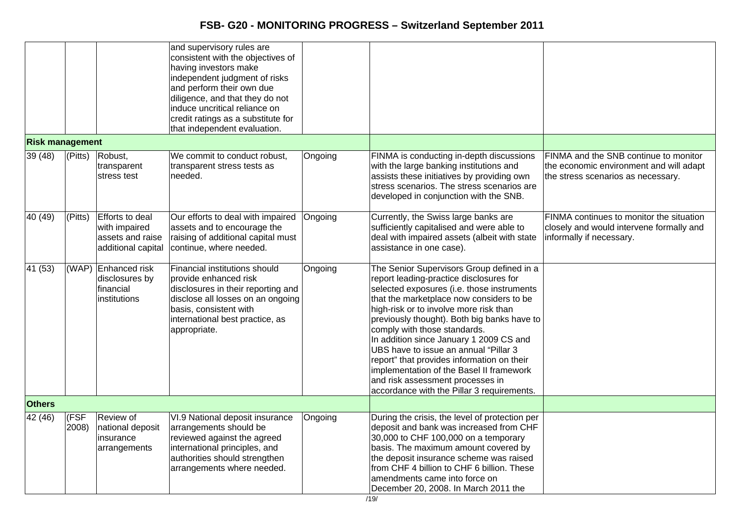|                        |                   |                                                                            | and supervisory rules are<br>consistent with the objectives of<br>having investors make<br>independent judgment of risks<br>and perform their own due<br>diligence, and that they do not<br>induce uncritical reliance on<br>credit ratings as a substitute for<br>that independent evaluation. |         |                                                                                                                                                                                                                                                                                                                                                                                                                                                                                                                                                                         |                                                                                                                        |
|------------------------|-------------------|----------------------------------------------------------------------------|-------------------------------------------------------------------------------------------------------------------------------------------------------------------------------------------------------------------------------------------------------------------------------------------------|---------|-------------------------------------------------------------------------------------------------------------------------------------------------------------------------------------------------------------------------------------------------------------------------------------------------------------------------------------------------------------------------------------------------------------------------------------------------------------------------------------------------------------------------------------------------------------------------|------------------------------------------------------------------------------------------------------------------------|
| <b>Risk management</b> |                   |                                                                            |                                                                                                                                                                                                                                                                                                 |         |                                                                                                                                                                                                                                                                                                                                                                                                                                                                                                                                                                         |                                                                                                                        |
| 39(48)                 | $ $ (Pitts)       | Robust,<br>transparent<br>stress test                                      | We commit to conduct robust,<br>transparent stress tests as<br>needed.                                                                                                                                                                                                                          | Ongoing | FINMA is conducting in-depth discussions<br>with the large banking institutions and<br>assists these initiatives by providing own<br>stress scenarios. The stress scenarios are<br>developed in conjunction with the SNB.                                                                                                                                                                                                                                                                                                                                               | FINMA and the SNB continue to monitor<br>the economic environment and will adapt<br>the stress scenarios as necessary. |
| 40 (49)                | (Pitts)           | Efforts to deal<br>with impaired<br>assets and raise<br>additional capital | Our efforts to deal with impaired<br>assets and to encourage the<br>raising of additional capital must<br>continue, where needed.                                                                                                                                                               | Ongoing | Currently, the Swiss large banks are<br>sufficiently capitalised and were able to<br>deal with impaired assets (albeit with state<br>assistance in one case).                                                                                                                                                                                                                                                                                                                                                                                                           | FINMA continues to monitor the situation<br>closely and would intervene formally and<br>informally if necessary.       |
| 41 (53)                |                   | (WAP) Enhanced risk<br>disclosures by<br>financial<br>institutions         | Financial institutions should<br>provide enhanced risk<br>disclosures in their reporting and<br>disclose all losses on an ongoing<br>basis, consistent with<br>international best practice, as<br>appropriate.                                                                                  | Ongoing | The Senior Supervisors Group defined in a<br>report leading-practice disclosures for<br>selected exposures (i.e. those instruments<br>that the marketplace now considers to be<br>high-risk or to involve more risk than<br>previously thought). Both big banks have to<br>comply with those standards.<br>In addition since January 1 2009 CS and<br>UBS have to issue an annual "Pillar 3<br>report" that provides information on their<br>implementation of the Basel II framework<br>and risk assessment processes in<br>accordance with the Pillar 3 requirements. |                                                                                                                        |
| <b>Others</b>          |                   |                                                                            |                                                                                                                                                                                                                                                                                                 |         |                                                                                                                                                                                                                                                                                                                                                                                                                                                                                                                                                                         |                                                                                                                        |
| 42 (46)                | $ $ (FSF<br>2008) | Review of<br>national deposit<br>insurance<br>arrangements                 | VI.9 National deposit insurance<br>arrangements should be<br>reviewed against the agreed<br>international principles, and<br>authorities should strengthen<br>arrangements where needed.                                                                                                        | Ongoing | During the crisis, the level of protection per<br>deposit and bank was increased from CHF<br>30,000 to CHF 100,000 on a temporary<br>basis. The maximum amount covered by<br>the deposit insurance scheme was raised<br>from CHF 4 billion to CHF 6 billion. These<br>amendments came into force on<br>December 20, 2008. In March 2011 the                                                                                                                                                                                                                             |                                                                                                                        |